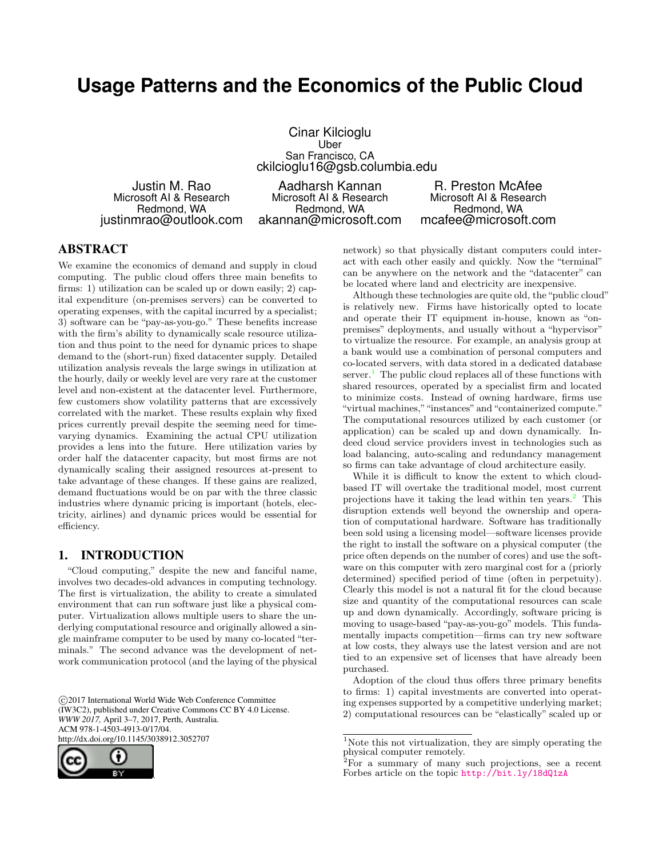# **Usage Patterns and the Economics of the Public Cloud**

Cinar Kilcioglu Uber San Francisco, CA ckilcioglu16@gsb.columbia.edu

Justin M. Rao Microsoft AI & Research Redmond, WA justinmrao@outlook.com

Aadharsh Kannan Microsoft AI & Research Redmond, WA akannan@microsoft.com

R. Preston McAfee Microsoft AI & Research Redmond, WA mcafee@microsoft.com

# ABSTRACT

We examine the economics of demand and supply in cloud computing. The public cloud offers three main benefits to firms: 1) utilization can be scaled up or down easily; 2) capital expenditure (on-premises servers) can be converted to operating expenses, with the capital incurred by a specialist; 3) software can be "pay-as-you-go." These benefits increase with the firm's ability to dynamically scale resource utilization and thus point to the need for dynamic prices to shape demand to the (short-run) fixed datacenter supply. Detailed utilization analysis reveals the large swings in utilization at the hourly, daily or weekly level are very rare at the customer level and non-existent at the datacenter level. Furthermore, few customers show volatility patterns that are excessively correlated with the market. These results explain why fixed prices currently prevail despite the seeming need for timevarying dynamics. Examining the actual CPU utilization provides a lens into the future. Here utilization varies by order half the datacenter capacity, but most firms are not dynamically scaling their assigned resources at-present to take advantage of these changes. If these gains are realized, demand fluctuations would be on par with the three classic industries where dynamic pricing is important (hotels, electricity, airlines) and dynamic prices would be essential for efficiency.

#### 1. INTRODUCTION

"Cloud computing," despite the new and fanciful name, involves two decades-old advances in computing technology. The first is virtualization, the ability to create a simulated environment that can run software just like a physical computer. Virtualization allows multiple users to share the underlying computational resource and originally allowed a single mainframe computer to be used by many co-located "terminals." The second advance was the development of network communication protocol (and the laying of the physical

 c 2017 International World Wide Web Conference Committee (IW3C2), published under Creative Commons CC BY 4.0 License. *WWW 2017,* April 3–7, 2017, Perth, Australia. ACM 978-1-4503-4913-0/17/04. http://dx.doi.org/10.1145/3038912.3052707



network) so that physically distant computers could interact with each other easily and quickly. Now the "terminal" can be anywhere on the network and the "datacenter" can be located where land and electricity are inexpensive.

Although these technologies are quite old, the"public cloud" is relatively new. Firms have historically opted to locate and operate their IT equipment in-house, known as "onpremises" deployments, and usually without a "hypervisor" to virtualize the resource. For example, an analysis group at a bank would use a combination of personal computers and co-located servers, with data stored in a dedicated database  $s$ erver.<sup>[1](#page-0-0)</sup> The public cloud replaces all of these functions with shared resources, operated by a specialist firm and located to minimize costs. Instead of owning hardware, firms use "virtual machines,""instances" and "containerized compute." The computational resources utilized by each customer (or application) can be scaled up and down dynamically. Indeed cloud service providers invest in technologies such as load balancing, auto-scaling and redundancy management so firms can take advantage of cloud architecture easily.

While it is difficult to know the extent to which cloudbased IT will overtake the traditional model, most current projections have it taking the lead within ten years.[2](#page-0-1) This disruption extends well beyond the ownership and operation of computational hardware. Software has traditionally been sold using a licensing model—software licenses provide the right to install the software on a physical computer (the price often depends on the number of cores) and use the software on this computer with zero marginal cost for a (priorly determined) specified period of time (often in perpetuity). Clearly this model is not a natural fit for the cloud because size and quantity of the computational resources can scale up and down dynamically. Accordingly, software pricing is moving to usage-based "pay-as-you-go" models. This fundamentally impacts competition—firms can try new software at low costs, they always use the latest version and are not tied to an expensive set of licenses that have already been purchased.

Adoption of the cloud thus offers three primary benefits to firms: 1) capital investments are converted into operating expenses supported by a competitive underlying market; 2) computational resources can be "elastically" scaled up or

<span id="page-0-0"></span> $^{\rm 1}\!$  Note this not virtualization, they are simply operating the physical computer remotely.

<span id="page-0-1"></span><sup>2</sup>For a summary of many such projections, see a recent Forbes article on the topic <http://bit.ly/18dQ1zA>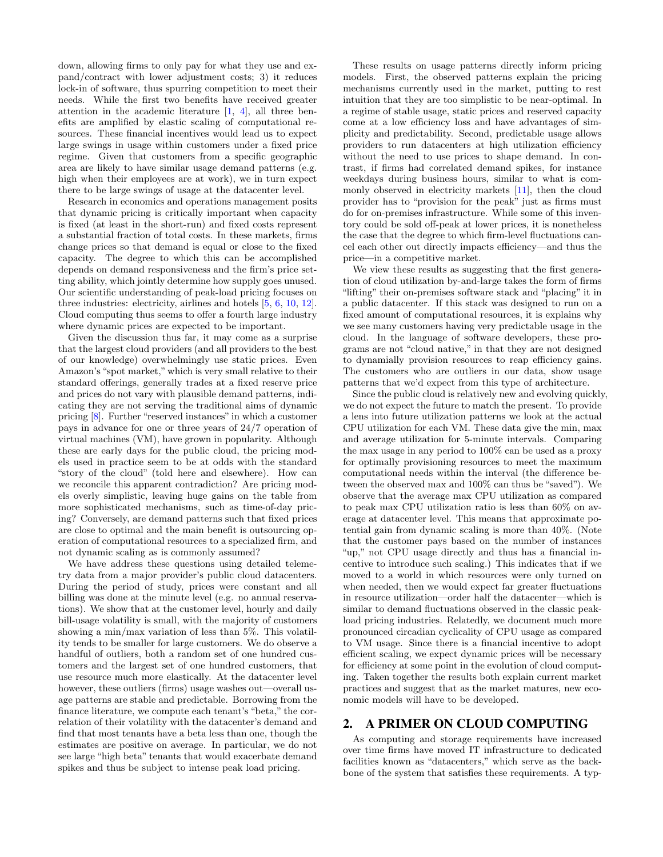down, allowing firms to only pay for what they use and expand/contract with lower adjustment costs; 3) it reduces lock-in of software, thus spurring competition to meet their needs. While the first two benefits have received greater attention in the academic literature [\[1,](#page-7-0) [4\]](#page-7-1), all three benefits are amplified by elastic scaling of computational resources. These financial incentives would lead us to expect large swings in usage within customers under a fixed price regime. Given that customers from a specific geographic area are likely to have similar usage demand patterns (e.g. high when their employees are at work), we in turn expect there to be large swings of usage at the datacenter level.

Research in economics and operations management posits that dynamic pricing is critically important when capacity is fixed (at least in the short-run) and fixed costs represent a substantial fraction of total costs. In these markets, firms change prices so that demand is equal or close to the fixed capacity. The degree to which this can be accomplished depends on demand responsiveness and the firm's price setting ability, which jointly determine how supply goes unused. Our scientific understanding of peak-load pricing focuses on three industries: electricity, airlines and hotels [\[5,](#page-7-2) [6,](#page-7-3) [10,](#page-8-0) [12\]](#page-8-1). Cloud computing thus seems to offer a fourth large industry where dynamic prices are expected to be important.

Given the discussion thus far, it may come as a surprise that the largest cloud providers (and all providers to the best of our knowledge) overwhelmingly use static prices. Even Amazon's "spot market," which is very small relative to their standard offerings, generally trades at a fixed reserve price and prices do not vary with plausible demand patterns, indicating they are not serving the traditional aims of dynamic pricing [\[8\]](#page-8-2). Further "reserved instances" in which a customer pays in advance for one or three years of 24/7 operation of virtual machines (VM), have grown in popularity. Although these are early days for the public cloud, the pricing models used in practice seem to be at odds with the standard "story of the cloud" (told here and elsewhere). How can we reconcile this apparent contradiction? Are pricing models overly simplistic, leaving huge gains on the table from more sophisticated mechanisms, such as time-of-day pricing? Conversely, are demand patterns such that fixed prices are close to optimal and the main benefit is outsourcing operation of computational resources to a specialized firm, and not dynamic scaling as is commonly assumed?

We have address these questions using detailed telemetry data from a major provider's public cloud datacenters. During the period of study, prices were constant and all billing was done at the minute level (e.g. no annual reservations). We show that at the customer level, hourly and daily bill-usage volatility is small, with the majority of customers showing a min/max variation of less than 5%. This volatility tends to be smaller for large customers. We do observe a handful of outliers, both a random set of one hundred customers and the largest set of one hundred customers, that use resource much more elastically. At the datacenter level however, these outliers (firms) usage washes out—overall usage patterns are stable and predictable. Borrowing from the finance literature, we compute each tenant's "beta," the correlation of their volatility with the datacenter's demand and find that most tenants have a beta less than one, though the estimates are positive on average. In particular, we do not see large "high beta" tenants that would exacerbate demand spikes and thus be subject to intense peak load pricing.

These results on usage patterns directly inform pricing models. First, the observed patterns explain the pricing mechanisms currently used in the market, putting to rest intuition that they are too simplistic to be near-optimal. In a regime of stable usage, static prices and reserved capacity come at a low efficiency loss and have advantages of simplicity and predictability. Second, predictable usage allows providers to run datacenters at high utilization efficiency without the need to use prices to shape demand. In contrast, if firms had correlated demand spikes, for instance weekdays during business hours, similar to what is commonly observed in electricity markets [\[11\]](#page-8-3), then the cloud provider has to "provision for the peak" just as firms must do for on-premises infrastructure. While some of this inventory could be sold off-peak at lower prices, it is nonetheless the case that the degree to which firm-level fluctuations cancel each other out directly impacts efficiency—and thus the price—in a competitive market.

We view these results as suggesting that the first generation of cloud utilization by-and-large takes the form of firms "lifting" their on-premises software stack and "placing" it in a public datacenter. If this stack was designed to run on a fixed amount of computational resources, it is explains why we see many customers having very predictable usage in the cloud. In the language of software developers, these programs are not "cloud native," in that they are not designed to dynamially provision resources to reap efficiency gains. The customers who are outliers in our data, show usage patterns that we'd expect from this type of architecture.

Since the public cloud is relatively new and evolving quickly, we do not expect the future to match the present. To provide a lens into future utilization patterns we look at the actual CPU utilization for each VM. These data give the min, max and average utilization for 5-minute intervals. Comparing the max usage in any period to 100% can be used as a proxy for optimally provisioning resources to meet the maximum computational needs within the interval (the difference between the observed max and 100% can thus be "saved"). We observe that the average max CPU utilization as compared to peak max CPU utilization ratio is less than 60% on average at datacenter level. This means that approximate potential gain from dynamic scaling is more than 40%. (Note that the customer pays based on the number of instances "up," not CPU usage directly and thus has a financial incentive to introduce such scaling.) This indicates that if we moved to a world in which resources were only turned on when needed, then we would expect far greater fluctuations in resource utilization—order half the datacenter—which is similar to demand fluctuations observed in the classic peakload pricing industries. Relatedly, we document much more pronounced circadian cyclicality of CPU usage as compared to VM usage. Since there is a financial incentive to adopt efficient scaling, we expect dynamic prices will be necessary for efficiency at some point in the evolution of cloud computing. Taken together the results both explain current market practices and suggest that as the market matures, new economic models will have to be developed.

## 2. A PRIMER ON CLOUD COMPUTING

As computing and storage requirements have increased over time firms have moved IT infrastructure to dedicated facilities known as "datacenters," which serve as the backbone of the system that satisfies these requirements. A typ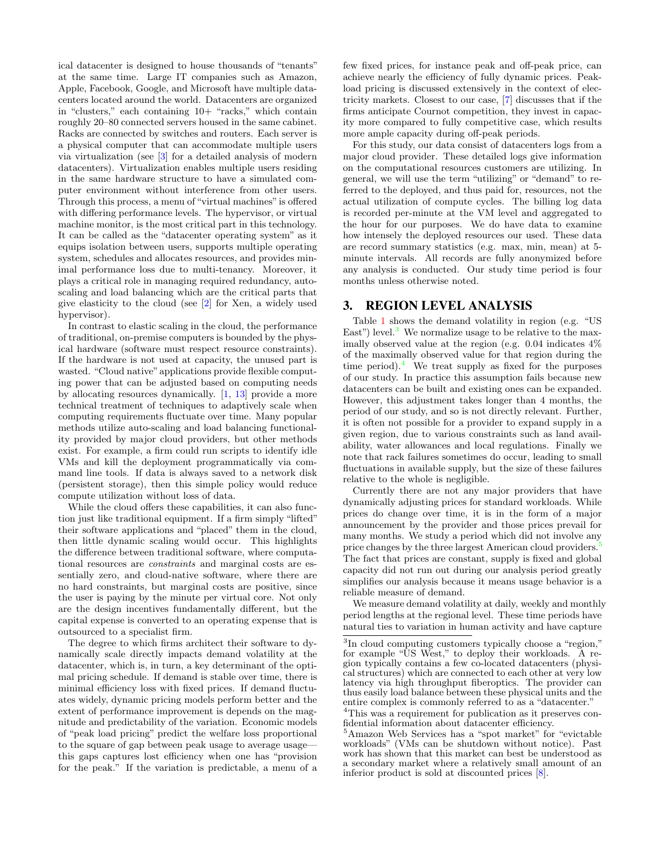ical datacenter is designed to house thousands of "tenants" at the same time. Large IT companies such as Amazon, Apple, Facebook, Google, and Microsoft have multiple datacenters located around the world. Datacenters are organized in "clusters," each containing 10+ "racks," which contain roughly 20–80 connected servers housed in the same cabinet. Racks are connected by switches and routers. Each server is a physical computer that can accommodate multiple users via virtualization (see [\[3\]](#page-7-4) for a detailed analysis of modern datacenters). Virtualization enables multiple users residing in the same hardware structure to have a simulated computer environment without interference from other users. Through this process, a menu of "virtual machines"is offered with differing performance levels. The hypervisor, or virtual machine monitor, is the most critical part in this technology. It can be called as the "datacenter operating system" as it equips isolation between users, supports multiple operating system, schedules and allocates resources, and provides minimal performance loss due to multi-tenancy. Moreover, it plays a critical role in managing required redundancy, autoscaling and load balancing which are the critical parts that give elasticity to the cloud (see [\[2\]](#page-7-5) for Xen, a widely used hypervisor).

In contrast to elastic scaling in the cloud, the performance of traditional, on-premise computers is bounded by the physical hardware (software must respect resource constraints). If the hardware is not used at capacity, the unused part is wasted. "Cloud native" applications provide flexible computing power that can be adjusted based on computing needs by allocating resources dynamically. [\[1,](#page-7-0) [13\]](#page-8-4) provide a more technical treatment of techniques to adaptively scale when computing requirements fluctuate over time. Many popular methods utilize auto-scaling and load balancing functionality provided by major cloud providers, but other methods exist. For example, a firm could run scripts to identify idle VMs and kill the deployment programmatically via command line tools. If data is always saved to a network disk (persistent storage), then this simple policy would reduce compute utilization without loss of data.

While the cloud offers these capabilities, it can also function just like traditional equipment. If a firm simply "lifted" their software applications and "placed" them in the cloud, then little dynamic scaling would occur. This highlights the difference between traditional software, where computational resources are constraints and marginal costs are essentially zero, and cloud-native software, where there are no hard constraints, but marginal costs are positive, since the user is paying by the minute per virtual core. Not only are the design incentives fundamentally different, but the capital expense is converted to an operating expense that is outsourced to a specialist firm.

The degree to which firms architect their software to dynamically scale directly impacts demand volatility at the datacenter, which is, in turn, a key determinant of the optimal pricing schedule. If demand is stable over time, there is minimal efficiency loss with fixed prices. If demand fluctuates widely, dynamic pricing models perform better and the extent of performance improvement is depends on the magnitude and predictability of the variation. Economic models of "peak load pricing" predict the welfare loss proportional to the square of gap between peak usage to average usage this gaps captures lost efficiency when one has "provision for the peak." If the variation is predictable, a menu of a few fixed prices, for instance peak and off-peak price, can achieve nearly the efficiency of fully dynamic prices. Peakload pricing is discussed extensively in the context of electricity markets. Closest to our case, [\[7\]](#page-8-5) discusses that if the firms anticipate Cournot competition, they invest in capacity more compared to fully competitive case, which results more ample capacity during off-peak periods.

For this study, our data consist of datacenters logs from a major cloud provider. These detailed logs give information on the computational resources customers are utilizing. In general, we will use the term "utilizing" or "demand" to referred to the deployed, and thus paid for, resources, not the actual utilization of compute cycles. The billing log data is recorded per-minute at the VM level and aggregated to the hour for our purposes. We do have data to examine how intensely the deployed resources our used. These data are record summary statistics (e.g. max, min, mean) at 5 minute intervals. All records are fully anonymized before any analysis is conducted. Our study time period is four months unless otherwise noted.

#### 3. REGION LEVEL ANALYSIS

Table [1](#page-4-0) shows the demand volatility in region (e.g. "US East") level.<sup>[3](#page-2-0)</sup> We normalize usage to be relative to the maximally observed value at the region (e.g. 0.04 indicates 4% of the maximally observed value for that region during the time period).<sup>[4](#page-2-1)</sup> We treat supply as fixed for the purposes of our study. In practice this assumption fails because new datacenters can be built and existing ones can be expanded. However, this adjustment takes longer than 4 months, the period of our study, and so is not directly relevant. Further, it is often not possible for a provider to expand supply in a given region, due to various constraints such as land availability, water allowances and local regulations. Finally we note that rack failures sometimes do occur, leading to small fluctuations in available supply, but the size of these failures relative to the whole is negligible.

Currently there are not any major providers that have dynamically adjusting prices for standard workloads. While prices do change over time, it is in the form of a major announcement by the provider and those prices prevail for many months. We study a period which did not involve any price changes by the three largest American cloud providers. The fact that prices are constant, supply is fixed and global capacity did not run out during our analysis period greatly simplifies our analysis because it means usage behavior is a reliable measure of demand.

We measure demand volatility at daily, weekly and monthly period lengths at the regional level. These time periods have natural ties to variation in human activity and have capture

<span id="page-2-0"></span><sup>&</sup>lt;sup>3</sup>In cloud computing customers typically choose a "region," for example "US West," to deploy their workloads. A region typically contains a few co-located datacenters (physical structures) which are connected to each other at very low latency via high throughput fiberoptics. The provider can thus easily load balance between these physical units and the entire complex is commonly referred to as a "datacenter."

<span id="page-2-1"></span><sup>4</sup>This was a requirement for publication as it preserves confidential information about datacenter efficiency.

<span id="page-2-2"></span><sup>5</sup>Amazon Web Services has a "spot market" for "evictable workloads" (VMs can be shutdown without notice). Past work has shown that this market can best be understood as a secondary market where a relatively small amount of an inferior product is sold at discounted prices [\[8\]](#page-8-2).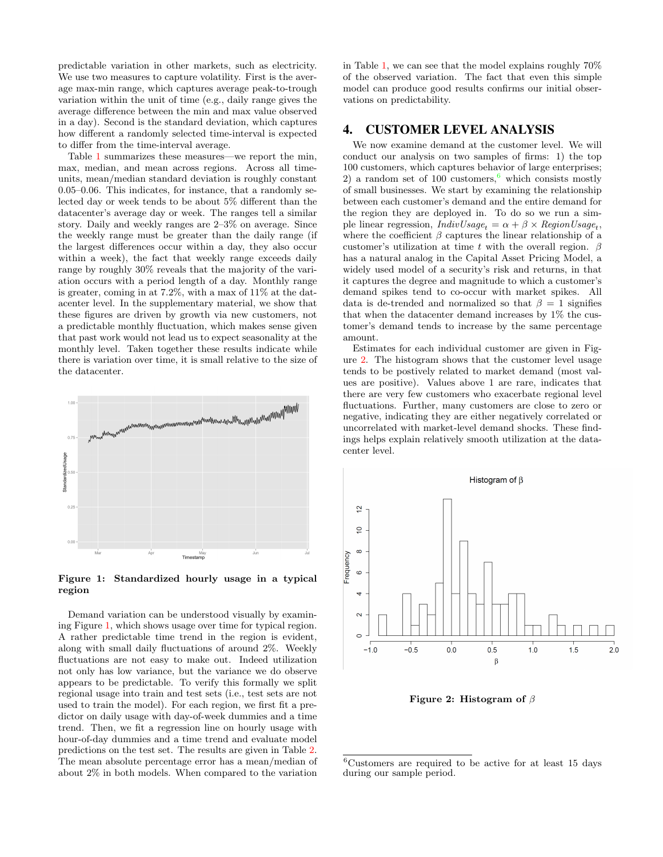predictable variation in other markets, such as electricity. We use two measures to capture volatility. First is the average max-min range, which captures average peak-to-trough variation within the unit of time (e.g., daily range gives the average difference between the min and max value observed in a day). Second is the standard deviation, which captures how different a randomly selected time-interval is expected to differ from the time-interval average.

Table [1](#page-4-0) summarizes these measures—we report the min, max, median, and mean across regions. Across all timeunits, mean/median standard deviation is roughly constant 0.05–0.06. This indicates, for instance, that a randomly selected day or week tends to be about 5% different than the datacenter's average day or week. The ranges tell a similar story. Daily and weekly ranges are 2–3% on average. Since the weekly range must be greater than the daily range (if the largest differences occur within a day, they also occur within a week), the fact that weekly range exceeds daily range by roughly 30% reveals that the majority of the variation occurs with a period length of a day. Monthly range is greater, coming in at 7.2%, with a max of 11% at the datacenter level. In the supplementary material, we show that these figures are driven by growth via new customers, not a predictable monthly fluctuation, which makes sense given that past work would not lead us to expect seasonality at the monthly level. Taken together these results indicate while there is variation over time, it is small relative to the size of the datacenter.



Figure 1: Standardized hourly usage in a typical region

Demand variation can be understood visually by examining Figure [1,](#page-3-0) which shows usage over time for typical region. A rather predictable time trend in the region is evident, along with small daily fluctuations of around 2%. Weekly fluctuations are not easy to make out. Indeed utilization not only has low variance, but the variance we do observe appears to be predictable. To verify this formally we split regional usage into train and test sets (i.e., test sets are not used to train the model). For each region, we first fit a predictor on daily usage with day-of-week dummies and a time trend. Then, we fit a regression line on hourly usage with hour-of-day dummies and a time trend and evaluate model predictions on the test set. The results are given in Table [2.](#page-4-1) The mean absolute percentage error has a mean/median of about 2% in both models. When compared to the variation in Table [1,](#page-4-0) we can see that the model explains roughly 70% of the observed variation. The fact that even this simple model can produce good results confirms our initial observations on predictability.

## 4. CUSTOMER LEVEL ANALYSIS

We now examine demand at the customer level. We will conduct our analysis on two samples of firms: 1) the top 100 customers, which captures behavior of large enterprises; 2) a random set of 100 customers, $6 \text{ which consists mostly}$  $6 \text{ which consists mostly}$ of small businesses. We start by examining the relationship between each customer's demand and the entire demand for the region they are deployed in. To do so we run a simple linear regression,  $\text{Indiv} \text{Usage}_t = \alpha + \beta \times \text{Region} \text{Usage}_t,$ where the coefficient  $\beta$  captures the linear relationship of a customer's utilization at time t with the overall region.  $\beta$ has a natural analog in the Capital Asset Pricing Model, a widely used model of a security's risk and returns, in that it captures the degree and magnitude to which a customer's demand spikes tend to co-occur with market spikes. All data is de-trended and normalized so that  $\beta = 1$  signifies that when the datacenter demand increases by 1% the customer's demand tends to increase by the same percentage amount.

Estimates for each individual customer are given in Figure [2.](#page-3-2) The histogram shows that the customer level usage tends to be postively related to market demand (most values are positive). Values above 1 are rare, indicates that there are very few customers who exacerbate regional level fluctuations. Further, many customers are close to zero or negative, indicating they are either negatively correlated or uncorrelated with market-level demand shocks. These findings helps explain relatively smooth utilization at the datacenter level.

<span id="page-3-0"></span>

<span id="page-3-2"></span>Figure 2: Histogram of  $\beta$ 

<span id="page-3-1"></span> ${}^{6}$ Customers are required to be active for at least 15 days during our sample period.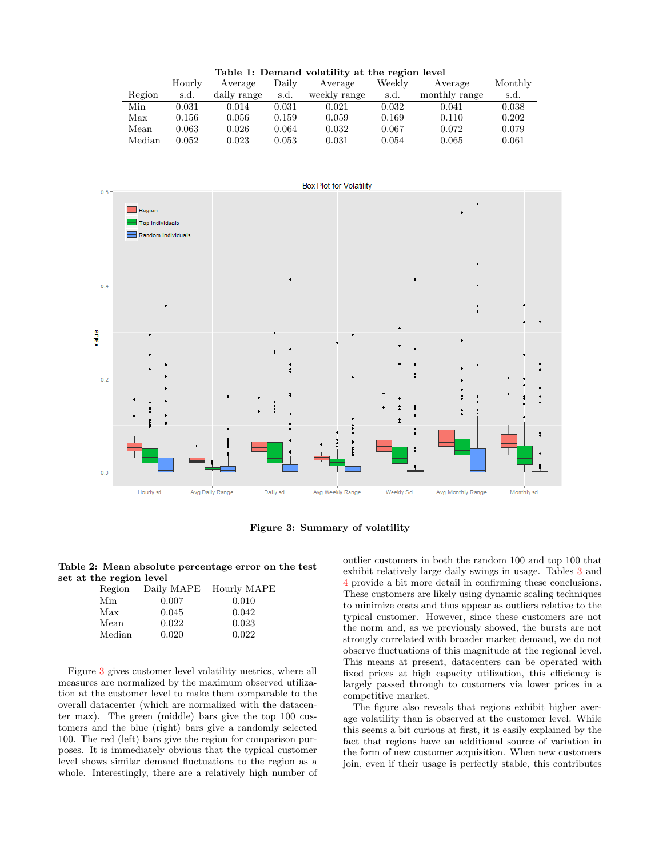<span id="page-4-0"></span>

| Table 1: Demand volatility at the region level |        |             |       |              |        |               |         |  |
|------------------------------------------------|--------|-------------|-------|--------------|--------|---------------|---------|--|
|                                                | Hourly | Average     | Daily | Average      | Weekly | Average       | Monthly |  |
| Region                                         | s.d.   | daily range | s.d.  | weekly range | s.d.   | monthly range | s.d.    |  |
| Min                                            | 0.031  | 0.014       | 0.031 | 0.021        | 0.032  | 0.041         | 0.038   |  |
| Max                                            | 0.156  | 0.056       | 0.159 | 0.059        | 0.169  | 0.110         | 0.202   |  |
| Mean                                           | 0.063  | 0.026       | 0.064 | 0.032        | 0.067  | 0.072         | 0.079   |  |
| Median                                         | 0.052  | 0.023       | 0.053 | 0.031        | 0.054  | 0.065         | 0.061   |  |



Figure 3: Summary of volatility

<span id="page-4-1"></span>Table 2: Mean absolute percentage error on the test set at the region level

| Region | Daily MAPE | Hourly MAPE |
|--------|------------|-------------|
| Min    | 0.007      | 0.010       |
| Max    | 0.045      | 0.042       |
| Mean   | 0.022      | 0.023       |
| Median | 0.020      | 0.022       |

Figure [3](#page-4-2) gives customer level volatility metrics, where all measures are normalized by the maximum observed utilization at the customer level to make them comparable to the overall datacenter (which are normalized with the datacenter max). The green (middle) bars give the top 100 customers and the blue (right) bars give a randomly selected 100. The red (left) bars give the region for comparison purposes. It is immediately obvious that the typical customer level shows similar demand fluctuations to the region as a whole. Interestingly, there are a relatively high number of <span id="page-4-2"></span>outlier customers in both the random 100 and top 100 that exhibit relatively large daily swings in usage. Tables [3](#page-5-0) and [4](#page-5-1) provide a bit more detail in confirming these conclusions. These customers are likely using dynamic scaling techniques to minimize costs and thus appear as outliers relative to the typical customer. However, since these customers are not the norm and, as we previously showed, the bursts are not strongly correlated with broader market demand, we do not observe fluctuations of this magnitude at the regional level. This means at present, datacenters can be operated with fixed prices at high capacity utilization, this efficiency is largely passed through to customers via lower prices in a competitive market.

The figure also reveals that regions exhibit higher average volatility than is observed at the customer level. While this seems a bit curious at first, it is easily explained by the fact that regions have an additional source of variation in the form of new customer acquisition. When new customers join, even if their usage is perfectly stable, this contributes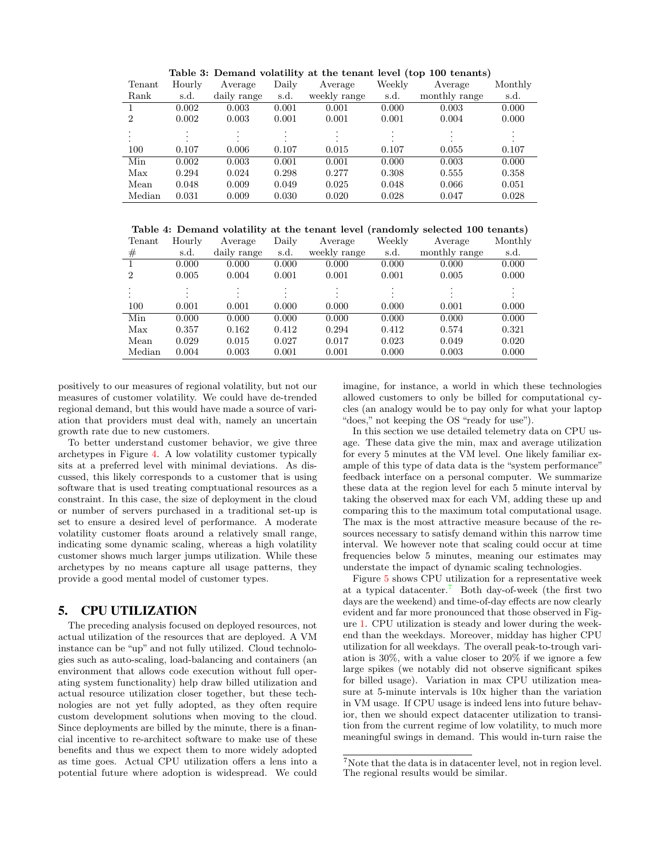<span id="page-5-0"></span>

|        |        |             |       |              |        | Table of Definance volutility at the tending level (top 100 tending) |         |
|--------|--------|-------------|-------|--------------|--------|----------------------------------------------------------------------|---------|
| Tenant | Hourly | Average     | Daily | Average      | Weekly | Average                                                              | Monthly |
| Rank   | s.d.   | daily range | s.d.  | weekly range | s.d.   | monthly range                                                        | s.d.    |
|        | 0.002  | 0.003       | 0.001 | 0.001        | 0.000  | 0.003                                                                | 0.000   |
| 2      | 0.002  | 0.003       | 0.001 | 0.001        | 0.001  | 0.004                                                                | 0.000   |
|        |        |             |       |              |        |                                                                      |         |
|        |        |             |       |              |        |                                                                      |         |
| 100    | 0.107  | 0.006       | 0.107 | 0.015        | 0.107  | 0.055                                                                | 0.107   |
| Min    | 0.002  | 0.003       | 0.001 | 0.001        | 0.000  | 0.003                                                                | 0.000   |
| Max    | 0.294  | 0.024       | 0.298 | 0.277        | 0.308  | 0.555                                                                | 0.358   |
| Mean   | 0.048  | 0.009       | 0.049 | 0.025        | 0.048  | 0.066                                                                | 0.051   |
| Median | 0.031  | 0.009       | 0.030 | 0.020        | 0.028  | 0.047                                                                | 0.028   |

Table 3: Demand volatility at the tenant level (top 100 tenants)

Table 4: Demand volatility at the tenant level (randomly selected 100 tenants)

<span id="page-5-1"></span>

| Tenant         | Hourly | Average     | Daily | Average      | Weekly | Average       | Monthly |
|----------------|--------|-------------|-------|--------------|--------|---------------|---------|
| $_{\#}$        | s.d.   | daily range | s.d.  | weekly range | s.d.   | monthly range | s.d.    |
|                | 0.000  | 0.000       | 0.000 | 0.000        | 0.000  | 0.000         | 0.000   |
| $\overline{2}$ | 0.005  | 0.004       | 0.001 | 0.001        | 0.001  | 0.005         | 0.000   |
|                |        |             |       |              |        |               |         |
| 100            | 0.001  | 0.001       | 0.000 | 0.000        | 0.000  | 0.001         | 0.000   |
| Min            | 0.000  | 0.000       | 0.000 | 0.000        | 0.000  | 0.000         | 0.000   |
| Max            | 0.357  | 0.162       | 0.412 | 0.294        | 0.412  | 0.574         | 0.321   |
| Mean           | 0.029  | 0.015       | 0.027 | 0.017        | 0.023  | 0.049         | 0.020   |
| Median         | 0.004  | 0.003       | 0.001 | 0.001        | 0.000  | 0.003         | 0.000   |

positively to our measures of regional volatility, but not our measures of customer volatility. We could have de-trended regional demand, but this would have made a source of variation that providers must deal with, namely an uncertain growth rate due to new customers.

To better understand customer behavior, we give three archetypes in Figure [4.](#page-6-0) A low volatility customer typically sits at a preferred level with minimal deviations. As discussed, this likely corresponds to a customer that is using software that is used treating comptuational resources as a constraint. In this case, the size of deployment in the cloud or number of servers purchased in a traditional set-up is set to ensure a desired level of performance. A moderate volatility customer floats around a relatively small range, indicating some dynamic scaling, whereas a high volatility customer shows much larger jumps utilization. While these archetypes by no means capture all usage patterns, they provide a good mental model of customer types.

#### 5. CPU UTILIZATION

The preceding analysis focused on deployed resources, not actual utilization of the resources that are deployed. A VM instance can be "up" and not fully utilized. Cloud technologies such as auto-scaling, load-balancing and containers (an environment that allows code execution without full operating system functionality) help draw billed utilization and actual resource utilization closer together, but these technologies are not yet fully adopted, as they often require custom development solutions when moving to the cloud. Since deployments are billed by the minute, there is a financial incentive to re-architect software to make use of these benefits and thus we expect them to more widely adopted as time goes. Actual CPU utilization offers a lens into a potential future where adoption is widespread. We could imagine, for instance, a world in which these technologies allowed customers to only be billed for computational cycles (an analogy would be to pay only for what your laptop "does," not keeping the OS "ready for use").

In this section we use detailed telemetry data on CPU usage. These data give the min, max and average utilization for every 5 minutes at the VM level. One likely familiar example of this type of data data is the "system performance" feedback interface on a personal computer. We summarize these data at the region level for each 5 minute interval by taking the observed max for each VM, adding these up and comparing this to the maximum total computational usage. The max is the most attractive measure because of the resources necessary to satisfy demand within this narrow time interval. We however note that scaling could occur at time frequencies below 5 minutes, meaning our estimates may understate the impact of dynamic scaling technologies.

Figure [5](#page-7-6) shows CPU utilization for a representative week at a typical datacenter.<sup>[7](#page-5-2)</sup> Both day-of-week (the first two days are the weekend) and time-of-day effects are now clearly evident and far more pronounced that those observed in Figure [1.](#page-3-0) CPU utilization is steady and lower during the weekend than the weekdays. Moreover, midday has higher CPU utilization for all weekdays. The overall peak-to-trough variation is 30%, with a value closer to 20% if we ignore a few large spikes (we notably did not observe significant spikes for billed usage). Variation in max CPU utilization measure at 5-minute intervals is 10x higher than the variation in VM usage. If CPU usage is indeed lens into future behavior, then we should expect datacenter utilization to transition from the current regime of low volatility, to much more meaningful swings in demand. This would in-turn raise the

<span id="page-5-2"></span><sup>7</sup>Note that the data is in datacenter level, not in region level. The regional results would be similar.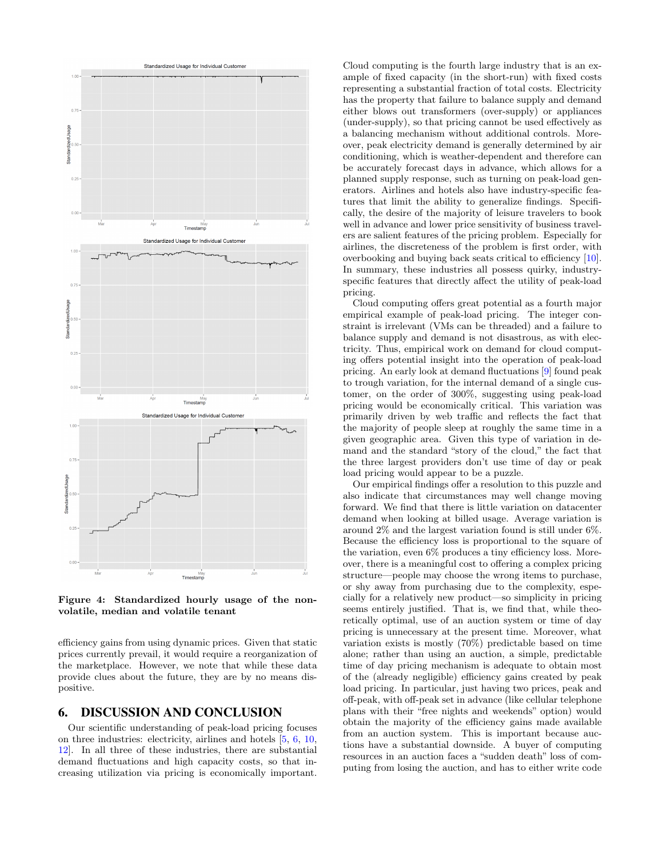

Figure 4: Standardized hourly usage of the nonvolatile, median and volatile tenant

efficiency gains from using dynamic prices. Given that static prices currently prevail, it would require a reorganization of the marketplace. However, we note that while these data provide clues about the future, they are by no means dispositive.

#### 6. DISCUSSION AND CONCLUSION

Our scientific understanding of peak-load pricing focuses on three industries: electricity, airlines and hotels [\[5,](#page-7-2) [6,](#page-7-3) [10,](#page-8-0) [12\]](#page-8-1). In all three of these industries, there are substantial demand fluctuations and high capacity costs, so that increasing utilization via pricing is economically important. Cloud computing is the fourth large industry that is an example of fixed capacity (in the short-run) with fixed costs representing a substantial fraction of total costs. Electricity has the property that failure to balance supply and demand either blows out transformers (over-supply) or appliances (under-supply), so that pricing cannot be used effectively as a balancing mechanism without additional controls. Moreover, peak electricity demand is generally determined by air conditioning, which is weather-dependent and therefore can be accurately forecast days in advance, which allows for a planned supply response, such as turning on peak-load generators. Airlines and hotels also have industry-specific features that limit the ability to generalize findings. Specifically, the desire of the majority of leisure travelers to book well in advance and lower price sensitivity of business travelers are salient features of the pricing problem. Especially for airlines, the discreteness of the problem is first order, with overbooking and buying back seats critical to efficiency [\[10\]](#page-8-0). In summary, these industries all possess quirky, industryspecific features that directly affect the utility of peak-load pricing.

Cloud computing offers great potential as a fourth major empirical example of peak-load pricing. The integer constraint is irrelevant (VMs can be threaded) and a failure to balance supply and demand is not disastrous, as with electricity. Thus, empirical work on demand for cloud computing offers potential insight into the operation of peak-load pricing. An early look at demand fluctuations [\[9\]](#page-8-6) found peak to trough variation, for the internal demand of a single customer, on the order of 300%, suggesting using peak-load pricing would be economically critical. This variation was primarily driven by web traffic and reflects the fact that the majority of people sleep at roughly the same time in a given geographic area. Given this type of variation in demand and the standard "story of the cloud," the fact that the three largest providers don't use time of day or peak load pricing would appear to be a puzzle.

<span id="page-6-0"></span>Our empirical findings offer a resolution to this puzzle and also indicate that circumstances may well change moving forward. We find that there is little variation on datacenter demand when looking at billed usage. Average variation is around 2% and the largest variation found is still under 6%. Because the efficiency loss is proportional to the square of the variation, even 6% produces a tiny efficiency loss. Moreover, there is a meaningful cost to offering a complex pricing structure—people may choose the wrong items to purchase, or shy away from purchasing due to the complexity, especially for a relatively new product—so simplicity in pricing seems entirely justified. That is, we find that, while theoretically optimal, use of an auction system or time of day pricing is unnecessary at the present time. Moreover, what variation exists is mostly (70%) predictable based on time alone; rather than using an auction, a simple, predictable time of day pricing mechanism is adequate to obtain most of the (already negligible) efficiency gains created by peak load pricing. In particular, just having two prices, peak and off-peak, with off-peak set in advance (like cellular telephone plans with their "free nights and weekends" option) would obtain the majority of the efficiency gains made available from an auction system. This is important because auctions have a substantial downside. A buyer of computing resources in an auction faces a "sudden death" loss of computing from losing the auction, and has to either write code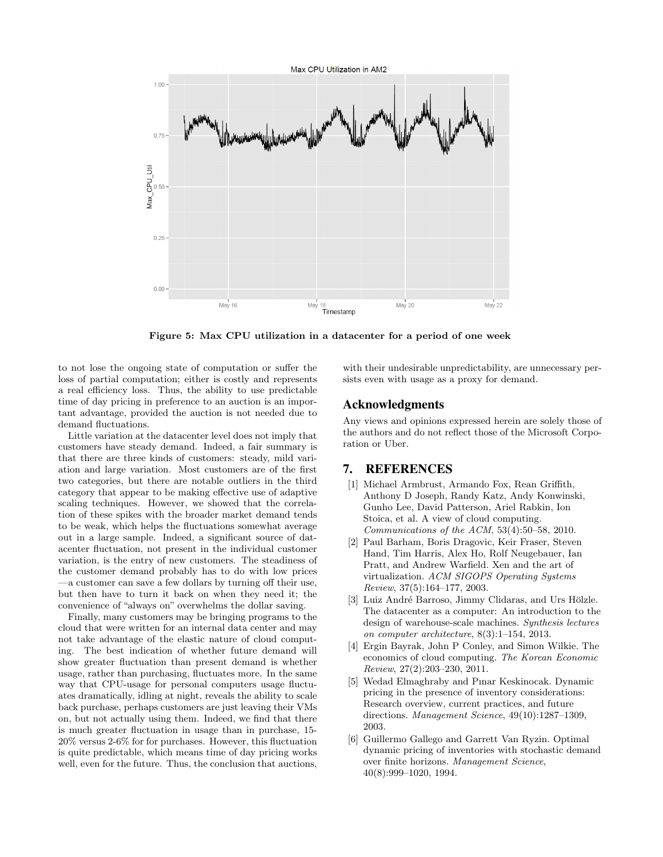

Figure 5: Max CPU utilization in a datacenter for a period of one week

to not lose the ongoing state of computation or suffer the loss of partial computation; either is costly and represents a real efficiency loss. Thus, the ability to use predictable time of day pricing in preference to an auction is an important advantage, provided the auction is not needed due to demand fluctuations.

Little variation at the datacenter level does not imply that customers have steady demand. Indeed, a fair summary is that there are three kinds of customers: steady, mild variation and large variation. Most customers are of the first two categories, but there are notable outliers in the third category that appear to be making effective use of adaptive scaling techniques. However, we showed that the correlation of these spikes with the broader market demand tends to be weak, which helps the fluctuations somewhat average out in a large sample. Indeed, a significant source of datacenter fluctuation, not present in the individual customer variation, is the entry of new customers. The steadiness of the customer demand probably has to do with low prices —a customer can save a few dollars by turning off their use, but then have to turn it back on when they need it; the convenience of "always on" overwhelms the dollar saving.

Finally, many customers may be bringing programs to the cloud that were written for an internal data center and may not take advantage of the elastic nature of cloud computing. The best indication of whether future demand will show greater fluctuation than present demand is whether usage, rather than purchasing, fluctuates more. In the same way that CPU-usage for personal computers usage fluctuates dramatically, idling at night, reveals the ability to scale back purchase, perhaps customers are just leaving their VMs on, but not actually using them. Indeed, we find that there is much greater fluctuation in usage than in purchase, 15- 20% versus 2-6% for for purchases. However, this fluctuation is quite predictable, which means time of day pricing works well, even for the future. Thus, the conclusion that auctions,

<span id="page-7-6"></span>with their undesirable unpredictability, are unnecessary persists even with usage as a proxy for demand.

# Acknowledgments

Any views and opinions expressed herein are solely those of the authors and do not reflect those of the Microsoft Corporation or Uber.

# 7. REFERENCES

- <span id="page-7-0"></span>[1] Michael Armbrust, Armando Fox, Rean Griffith, Anthony D Joseph, Randy Katz, Andy Konwinski, Gunho Lee, David Patterson, Ariel Rabkin, Ion Stoica, et al. A view of cloud computing. Communications of the ACM, 53(4):50–58, 2010.
- <span id="page-7-5"></span>[2] Paul Barham, Boris Dragovic, Keir Fraser, Steven Hand, Tim Harris, Alex Ho, Rolf Neugebauer, Ian Pratt, and Andrew Warfield. Xen and the art of virtualization. ACM SIGOPS Operating Systems Review, 37(5):164–177, 2003.
- <span id="page-7-4"></span>[3] Luiz André Barroso, Jimmy Clidaras, and Urs Hölzle. The datacenter as a computer: An introduction to the design of warehouse-scale machines. Synthesis lectures on computer architecture, 8(3):1–154, 2013.
- <span id="page-7-1"></span>[4] Ergin Bayrak, John P Conley, and Simon Wilkie. The economics of cloud computing. The Korean Economic Review, 27(2):203–230, 2011.
- <span id="page-7-2"></span>[5] Wedad Elmaghraby and Pınar Keskinocak. Dynamic pricing in the presence of inventory considerations: Research overview, current practices, and future directions. Management Science, 49(10):1287–1309, 2003.
- <span id="page-7-3"></span>[6] Guillermo Gallego and Garrett Van Ryzin. Optimal dynamic pricing of inventories with stochastic demand over finite horizons. Management Science, 40(8):999–1020, 1994.